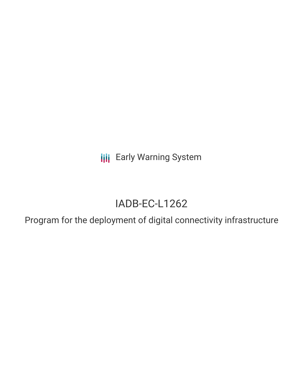**III** Early Warning System

# IADB-EC-L1262

Program for the deployment of digital connectivity infrastructure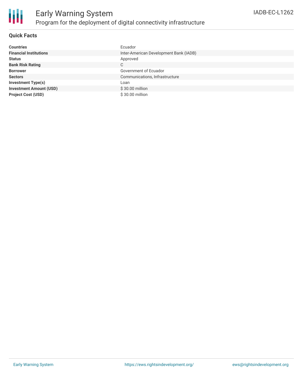

### **Quick Facts**

| <b>Countries</b>               | Ecuador                                |
|--------------------------------|----------------------------------------|
| <b>Financial Institutions</b>  | Inter-American Development Bank (IADB) |
| <b>Status</b>                  | Approved                               |
| <b>Bank Risk Rating</b>        | С                                      |
| <b>Borrower</b>                | Government of Ecuador                  |
| <b>Sectors</b>                 | Communications, Infrastructure         |
| <b>Investment Type(s)</b>      | Loan                                   |
| <b>Investment Amount (USD)</b> | \$30.00 million                        |
| <b>Project Cost (USD)</b>      | \$30.00 million                        |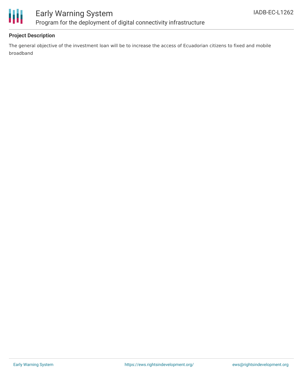

# Early Warning System Program for the deployment of digital connectivity infrastructure

### **Project Description**

The general objective of the investment loan will be to increase the access of Ecuadorian citizens to fixed and mobile broadband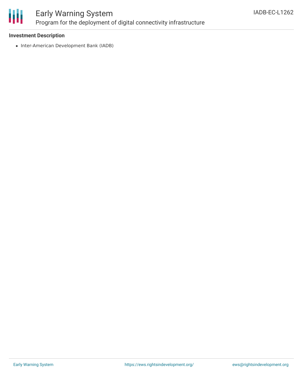

# Early Warning System Program for the deployment of digital connectivity infrastructure

#### **Investment Description**

• Inter-American Development Bank (IADB)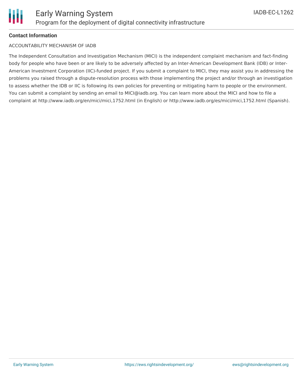### **Contact Information**

#### ACCOUNTABILITY MECHANISM OF IADB

The Independent Consultation and Investigation Mechanism (MICI) is the independent complaint mechanism and fact-finding body for people who have been or are likely to be adversely affected by an Inter-American Development Bank (IDB) or Inter-American Investment Corporation (IIC)-funded project. If you submit a complaint to MICI, they may assist you in addressing the problems you raised through a dispute-resolution process with those implementing the project and/or through an investigation to assess whether the IDB or IIC is following its own policies for preventing or mitigating harm to people or the environment. You can submit a complaint by sending an email to MICI@iadb.org. You can learn more about the MICI and how to file a complaint at http://www.iadb.org/en/mici/mici,1752.html (in English) or http://www.iadb.org/es/mici/mici,1752.html (Spanish).